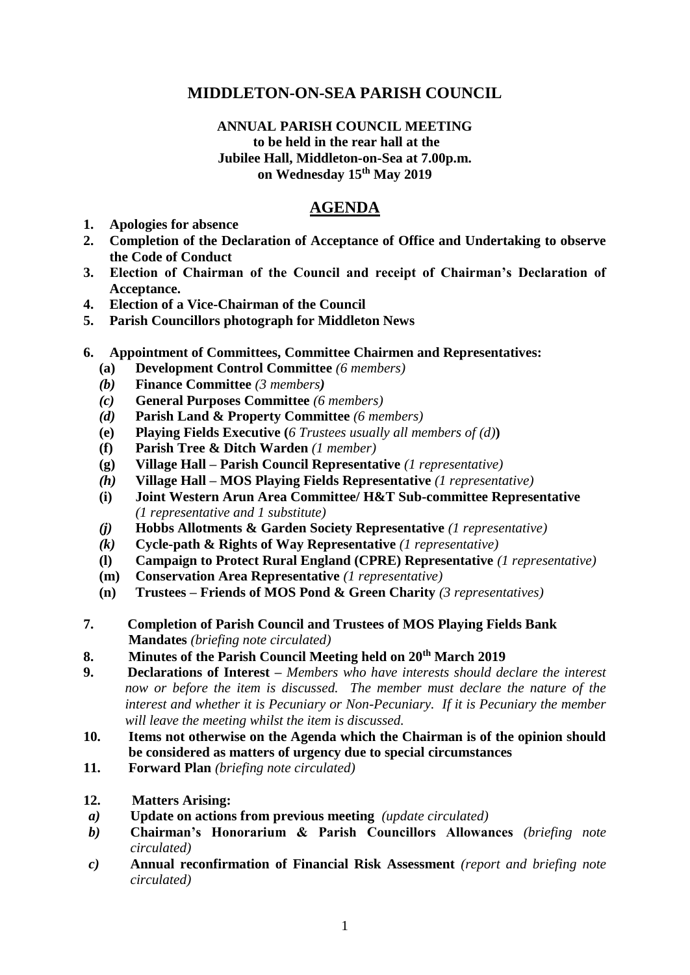# **MIDDLETON-ON-SEA PARISH COUNCIL**

#### **ANNUAL PARISH COUNCIL MEETING to be held in the rear hall at the Jubilee Hall, Middleton-on-Sea at 7.00p.m. on Wednesday 15 th May 2019**

## **AGENDA**

- **1. Apologies for absence**
- **2. Completion of the Declaration of Acceptance of Office and Undertaking to observe the Code of Conduct**
- **3. Election of Chairman of the Council and receipt of Chairman's Declaration of Acceptance.**
- **4. Election of a Vice-Chairman of the Council**
- **5. Parish Councillors photograph for Middleton News**
- **6. Appointment of Committees, Committee Chairmen and Representatives:**
	- **(a) Development Control Committee** *(6 members)*
	- *(b)* **Finance Committee** *(3 members)*
	- *(c)* **General Purposes Committee** *(6 members)*
	- *(d)* **Parish Land & Property Committee** *(6 members)*
	- **(e) Playing Fields Executive (***6 Trustees usually all members of (d)***)**
	- **(f) Parish Tree & Ditch Warden** *(1 member)*
	- **(g) Village Hall – Parish Council Representative** *(1 representative)*
	- *(h)* **Village Hall – MOS Playing Fields Representative** *(1 representative)*
	- **(i) Joint Western Arun Area Committee/ H&T Sub-committee Representative** *(1 representative and 1 substitute)*
	- *(j)* **Hobbs Allotments & Garden Society Representative** *(1 representative)*
	- *(k)* **Cycle-path & Rights of Way Representative** *(1 representative)*
	- **(l) Campaign to Protect Rural England (CPRE) Representative** *(1 representative)*
	- **(m) Conservation Area Representative** *(1 representative)*
	- **(n) Trustees – Friends of MOS Pond & Green Charity** *(3 representatives)*
- **7. Completion of Parish Council and Trustees of MOS Playing Fields Bank Mandates** *(briefing note circulated)*
- **8. Minutes of the Parish Council Meeting held on 20th March 2019**
- **9. Declarations of Interest –** *Members who have interests should declare the interest now or before the item is discussed. The member must declare the nature of the interest and whether it is Pecuniary or Non-Pecuniary. If it is Pecuniary the member will leave the meeting whilst the item is discussed.*
- **10. Items not otherwise on the Agenda which the Chairman is of the opinion should be considered as matters of urgency due to special circumstances**
- **11. Forward Plan** *(briefing note circulated)*
- **12. Matters Arising:**
- *a)* **Update on actions from previous meeting** *(update circulated)*
- *b)* **Chairman's Honorarium & Parish Councillors Allowances** *(briefing note circulated)*
- *c)* **Annual reconfirmation of Financial Risk Assessment** *(report and briefing note circulated)*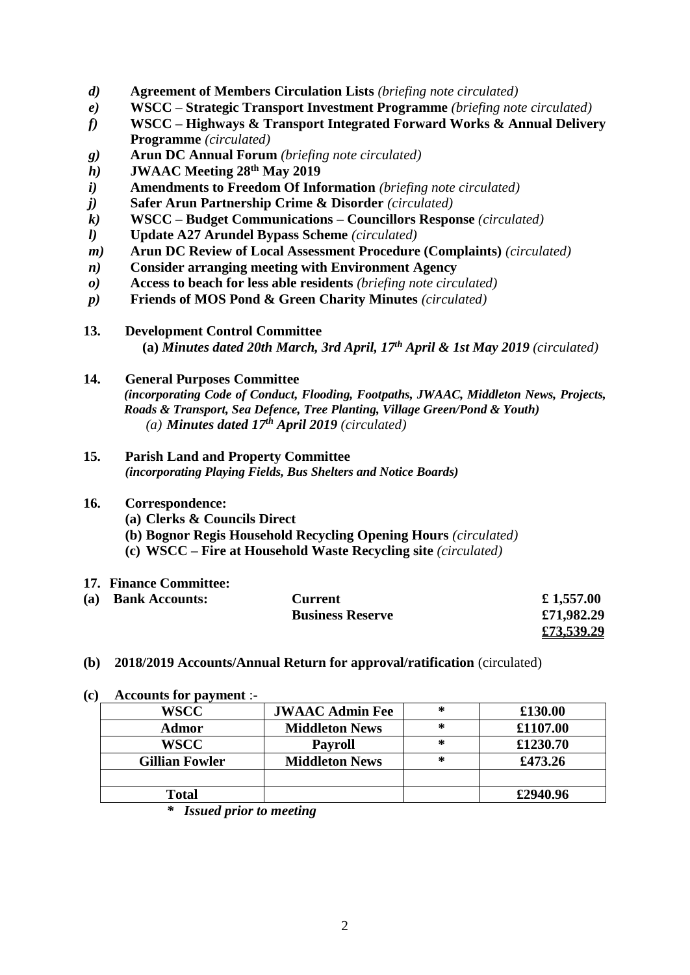- *d)* **Agreement of Members Circulation Lists** *(briefing note circulated)*
- *e)* **WSCC – Strategic Transport Investment Programme** *(briefing note circulated)*
- *f)* **WSCC – Highways & Transport Integrated Forward Works & Annual Delivery Programme** *(circulated)*
- *g)* **Arun DC Annual Forum** *(briefing note circulated)*
- *h)* **JWAAC Meeting 28th May 2019**
- *i)* **Amendments to Freedom Of Information** *(briefing note circulated)*
- *j)* **Safer Arun Partnership Crime & Disorder** *(circulated)*
- *k)* **WSCC – Budget Communications – Councillors Response** *(circulated)*
- *l)* **Update A27 Arundel Bypass Scheme** *(circulated)*
- *m)* **Arun DC Review of Local Assessment Procedure (Complaints)** *(circulated)*
- *n)* **Consider arranging meeting with Environment Agency**
- *o)* **Access to beach for less able residents** *(briefing note circulated)*
- *p)* **Friends of MOS Pond & Green Charity Minutes** *(circulated)*

#### **13. Development Control Committee**

 **(a)** *Minutes dated 20th March, 3rd April, 17 th April & 1st May 2019 (circulated)*

#### **14. General Purposes Committee**

*(incorporating Code of Conduct, Flooding, Footpaths, JWAAC, Middleton News, Projects, Roads & Transport, Sea Defence, Tree Planting, Village Green/Pond & Youth) (a) Minutes dated 17 th April 2019 (circulated)*

**15. Parish Land and Property Committee** *(incorporating Playing Fields, Bus Shelters and Notice Boards)*

### **16. Correspondence:**

- **(a) Clerks & Councils Direct**
- **(b) Bognor Regis Household Recycling Opening Hours** *(circulated)*
- **(c) WSCC – Fire at Household Waste Recycling site** *(circulated)*
- **17. Finance Committee:**

| (a) | <b>Bank Accounts:</b> | Current                 | £1,557.00  |
|-----|-----------------------|-------------------------|------------|
|     |                       | <b>Business Reserve</b> | £71,982.29 |
|     |                       |                         | £73,539.29 |

- **(b) 2018/2019 Accounts/Annual Return for approval/ratification** (circulated)
- **(c) Accounts for payment** :-

| <b>WSCC</b>           | <b>JWAAC Admin Fee</b> | ∗ | £130.00  |
|-----------------------|------------------------|---|----------|
| Admor                 | <b>Middleton News</b>  | ∗ | £1107.00 |
| <b>WSCC</b>           | <b>Payroll</b>         | ∗ | £1230.70 |
| <b>Gillian Fowler</b> | <b>Middleton News</b>  | ∗ | £473.26  |
|                       |                        |   |          |
| <b>Total</b>          |                        |   | £2940.96 |
|                       |                        |   |          |

*<sup>\*</sup> Issued prior to meeting*